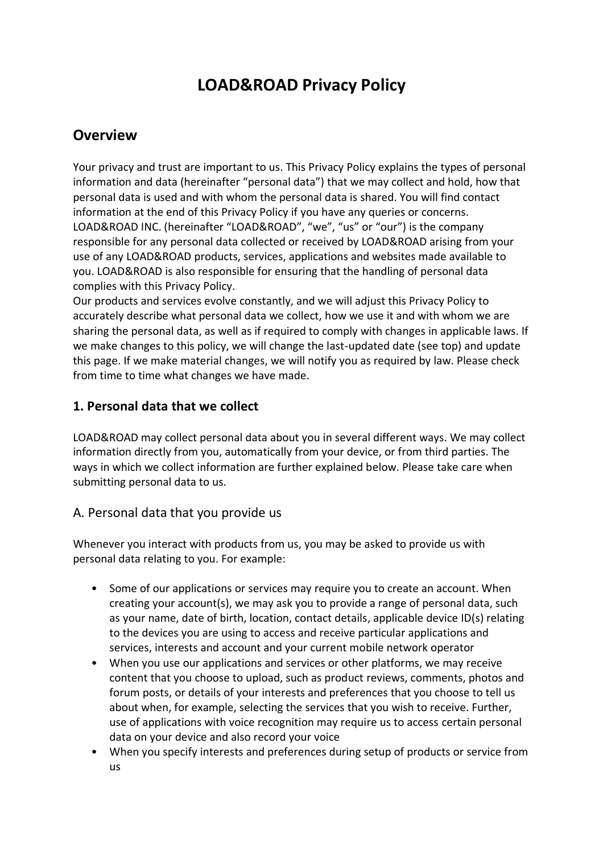# **LOAD&ROAD Privacy Policy**

# **Overview**

Your privacy and trust are important to us. This Privacy Policy explains the types of personal information and data (hereinafter "personal data") that we may collect and hold, how that personal data is used and with whom the personal data is shared. You will find contact information at the end of this Privacy Policy if you have any queries or concerns. LOAD&ROAD INC. (hereinafter "LOAD&ROAD", "we", "us" or "our") is the company responsible for any personal data collected or received by LOAD&ROAD arising from your use of any LOAD&ROAD products, services, applications and websites made available to you. LOAD&ROAD is also responsible for ensuring that the handling of personal data complies with this Privacy Policy.

Our products and services evolve constantly, and we will adjust this Privacy Policy to accurately describe what personal data we collect, how we use it and with whom we are sharing the personal data, as well as if required to comply with changes in applicable laws. If we make changes to this policy, we will change the last-updated date (see top) and update this page. If we make material changes, we will notify you as required by law. Please check from time to time what changes we have made.

#### **1. Personal data that we collect**

LOAD&ROAD may collect personal data about you in several different ways. We may collect information directly from you, automatically from your device, or from third parties. The ways in which we collect information are further explained below. Please take care when submitting personal data to us.

#### A. Personal data that you provide us

Whenever you interact with products from us, you may be asked to provide us with personal data relating to you. For example:

- Some of our applications or services may require you to create an account. When creating your account(s), we may ask you to provide a range of personal data, such as your name, date of birth, location, contact details, applicable device ID(s) relating to the devices you are using to access and receive particular applications and services, interests and account and your current mobile network operator
- When you use our applications and services or other platforms, we may receive content that you choose to upload, such as product reviews, comments, photos and forum posts, or details of your interests and preferences that you choose to tell us about when, for example, selecting the services that you wish to receive. Further, use of applications with voice recognition may require us to access certain personal data on your device and also record your voice
- When you specify interests and preferences during setup of products or service from us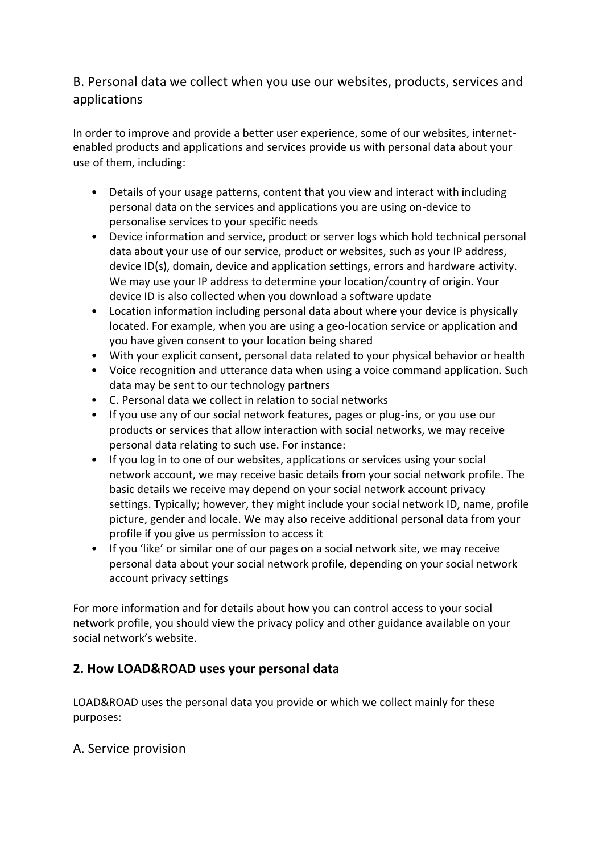## B. Personal data we collect when you use our websites, products, services and applications

In order to improve and provide a better user experience, some of our websites, internetenabled products and applications and services provide us with personal data about your use of them, including:

- Details of your usage patterns, content that you view and interact with including personal data on the services and applications you are using on-device to personalise services to your specific needs
- Device information and service, product or server logs which hold technical personal data about your use of our service, product or websites, such as your IP address, device ID(s), domain, device and application settings, errors and hardware activity. We may use your IP address to determine your location/country of origin. Your device ID is also collected when you download a software update
- Location information including personal data about where your device is physically located. For example, when you are using a geo-location service or application and you have given consent to your location being shared
- With your explicit consent, personal data related to your physical behavior or health
- Voice recognition and utterance data when using a voice command application. Such data may be sent to our technology partners
- C. Personal data we collect in relation to social networks
- If you use any of our social network features, pages or plug-ins, or you use our products or services that allow interaction with social networks, we may receive personal data relating to such use. For instance:
- If you log in to one of our websites, applications or services using your social network account, we may receive basic details from your social network profile. The basic details we receive may depend on your social network account privacy settings. Typically; however, they might include your social network ID, name, profile picture, gender and locale. We may also receive additional personal data from your profile if you give us permission to access it
- If you 'like' or similar one of our pages on a social network site, we may receive personal data about your social network profile, depending on your social network account privacy settings

For more information and for details about how you can control access to your social network profile, you should view the privacy policy and other guidance available on your social network's website.

## **2. How LOAD&ROAD uses your personal data**

LOAD&ROAD uses the personal data you provide or which we collect mainly for these purposes:

#### A. Service provision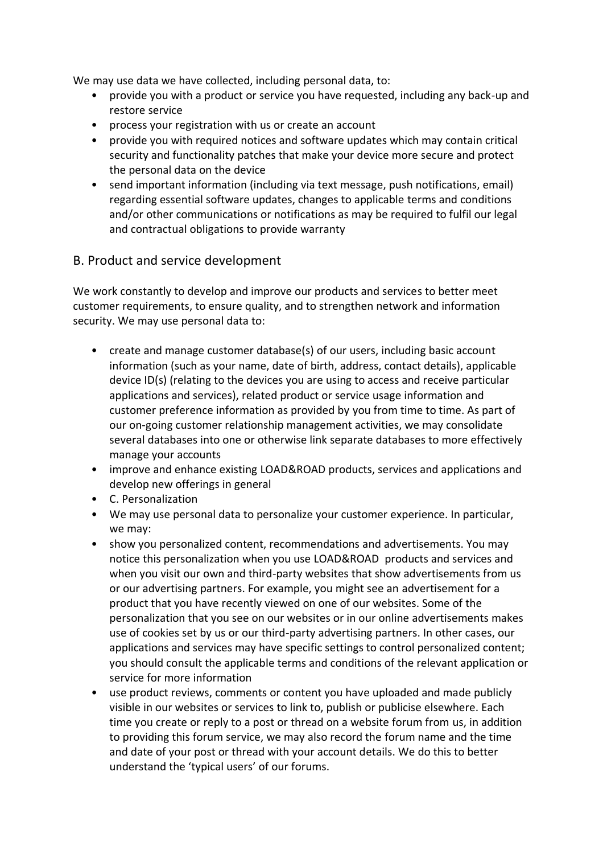We may use data we have collected, including personal data, to:

- provide you with a product or service you have requested, including any back-up and restore service
- process your registration with us or create an account
- provide you with required notices and software updates which may contain critical security and functionality patches that make your device more secure and protect the personal data on the device
- send important information (including via text message, push notifications, email) regarding essential software updates, changes to applicable terms and conditions and/or other communications or notifications as may be required to fulfil our legal and contractual obligations to provide warranty

#### B. Product and service development

We work constantly to develop and improve our products and services to better meet customer requirements, to ensure quality, and to strengthen network and information security. We may use personal data to:

- create and manage customer database(s) of our users, including basic account information (such as your name, date of birth, address, contact details), applicable device ID(s) (relating to the devices you are using to access and receive particular applications and services), related product or service usage information and customer preference information as provided by you from time to time. As part of our on-going customer relationship management activities, we may consolidate several databases into one or otherwise link separate databases to more effectively manage your accounts
- improve and enhance existing LOAD&ROAD products, services and applications and develop new offerings in general
- C. Personalization
- We may use personal data to personalize your customer experience. In particular, we may:
- show you personalized content, recommendations and advertisements. You may notice this personalization when you use LOAD&ROAD products and services and when you visit our own and third-party websites that show advertisements from us or our advertising partners. For example, you might see an advertisement for a product that you have recently viewed on one of our websites. Some of the personalization that you see on our websites or in our online advertisements makes use of cookies set by us or our third-party advertising partners. In other cases, our applications and services may have specific settings to control personalized content; you should consult the applicable terms and conditions of the relevant application or service for more information
- use product reviews, comments or content you have uploaded and made publicly visible in our websites or services to link to, publish or publicise elsewhere. Each time you create or reply to a post or thread on a website forum from us, in addition to providing this forum service, we may also record the forum name and the time and date of your post or thread with your account details. We do this to better understand the 'typical users' of our forums.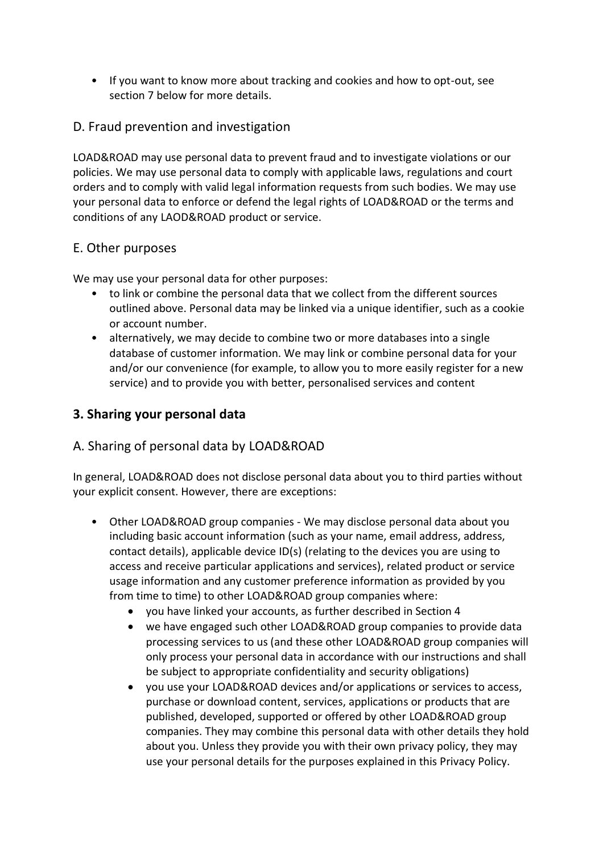• If you want to know more about tracking and cookies and how to opt-out, see section 7 below for more details.

#### D. Fraud prevention and investigation

LOAD&ROAD may use personal data to prevent fraud and to investigate violations or our policies. We may use personal data to comply with applicable laws, regulations and court orders and to comply with valid legal information requests from such bodies. We may use your personal data to enforce or defend the legal rights of LOAD&ROAD or the terms and conditions of any LAOD&ROAD product or service.

#### E. Other purposes

We may use your personal data for other purposes:

- to link or combine the personal data that we collect from the different sources outlined above. Personal data may be linked via a unique identifier, such as a cookie or account number.
- alternatively, we may decide to combine two or more databases into a single database of customer information. We may link or combine personal data for your and/or our convenience (for example, to allow you to more easily register for a new service) and to provide you with better, personalised services and content

#### **3. Sharing your personal data**

## A. Sharing of personal data by LOAD&ROAD

In general, LOAD&ROAD does not disclose personal data about you to third parties without your explicit consent. However, there are exceptions:

- Other LOAD&ROAD group companies We may disclose personal data about you including basic account information (such as your name, email address, address, contact details), applicable device ID(s) (relating to the devices you are using to access and receive particular applications and services), related product or service usage information and any customer preference information as provided by you from time to time) to other LOAD&ROAD group companies where:
	- you have linked your accounts, as further described in Section 4
	- we have engaged such other LOAD&ROAD group companies to provide data processing services to us (and these other LOAD&ROAD group companies will only process your personal data in accordance with our instructions and shall be subject to appropriate confidentiality and security obligations)
	- you use your LOAD&ROAD devices and/or applications or services to access, purchase or download content, services, applications or products that are published, developed, supported or offered by other LOAD&ROAD group companies. They may combine this personal data with other details they hold about you. Unless they provide you with their own privacy policy, they may use your personal details for the purposes explained in this Privacy Policy.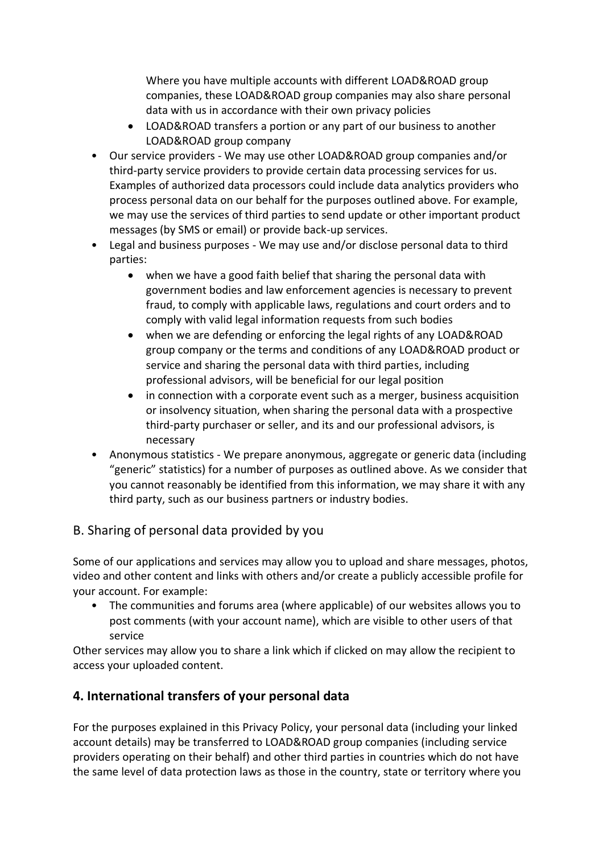Where you have multiple accounts with different LOAD&ROAD group companies, these LOAD&ROAD group companies may also share personal data with us in accordance with their own privacy policies

- LOAD&ROAD transfers a portion or any part of our business to another LOAD&ROAD group company
- Our service providers We may use other LOAD&ROAD group companies and/or third-party service providers to provide certain data processing services for us. Examples of authorized data processors could include data analytics providers who process personal data on our behalf for the purposes outlined above. For example, we may use the services of third parties to send update or other important product messages (by SMS or email) or provide back-up services.
- Legal and business purposes We may use and/or disclose personal data to third parties:
	- when we have a good faith belief that sharing the personal data with government bodies and law enforcement agencies is necessary to prevent fraud, to comply with applicable laws, regulations and court orders and to comply with valid legal information requests from such bodies
	- when we are defending or enforcing the legal rights of any LOAD&ROAD group company or the terms and conditions of any LOAD&ROAD product or service and sharing the personal data with third parties, including professional advisors, will be beneficial for our legal position
	- in connection with a corporate event such as a merger, business acquisition or insolvency situation, when sharing the personal data with a prospective third-party purchaser or seller, and its and our professional advisors, is necessary
- Anonymous statistics We prepare anonymous, aggregate or generic data (including "generic" statistics) for a number of purposes as outlined above. As we consider that you cannot reasonably be identified from this information, we may share it with any third party, such as our business partners or industry bodies.

## B. Sharing of personal data provided by you

Some of our applications and services may allow you to upload and share messages, photos, video and other content and links with others and/or create a publicly accessible profile for your account. For example:

• The communities and forums area (where applicable) of our websites allows you to post comments (with your account name), which are visible to other users of that service

Other services may allow you to share a link which if clicked on may allow the recipient to access your uploaded content.

## **4. International transfers of your personal data**

For the purposes explained in this Privacy Policy, your personal data (including your linked account details) may be transferred to LOAD&ROAD group companies (including service providers operating on their behalf) and other third parties in countries which do not have the same level of data protection laws as those in the country, state or territory where you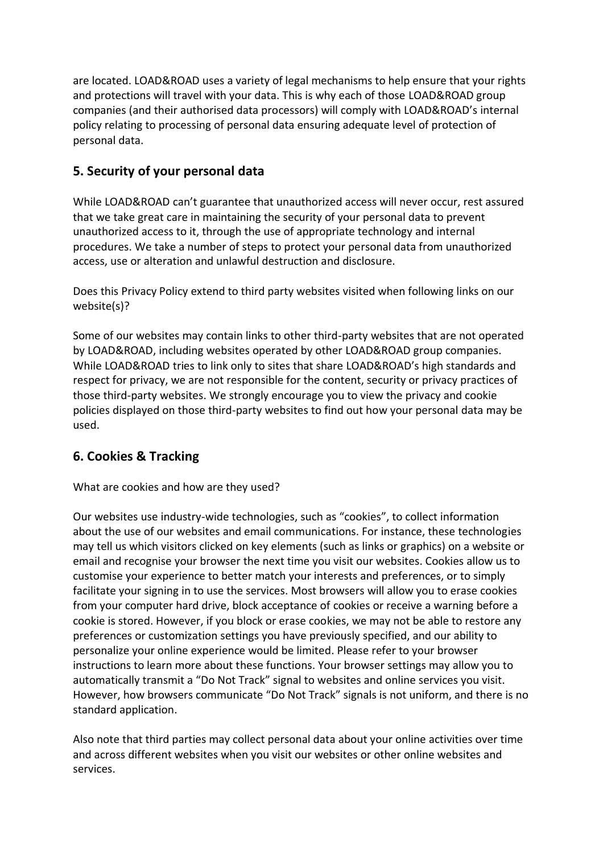are located. LOAD&ROAD uses a variety of legal mechanisms to help ensure that your rights and protections will travel with your data. This is why each of those LOAD&ROAD group companies (and their authorised data processors) will comply with LOAD&ROAD's internal policy relating to processing of personal data ensuring adequate level of protection of personal data.

# **5. Security of your personal data**

While LOAD&ROAD can't guarantee that unauthorized access will never occur, rest assured that we take great care in maintaining the security of your personal data to prevent unauthorized access to it, through the use of appropriate technology and internal procedures. We take a number of steps to protect your personal data from unauthorized access, use or alteration and unlawful destruction and disclosure.

Does this Privacy Policy extend to third party websites visited when following links on our website(s)?

Some of our websites may contain links to other third-party websites that are not operated by LOAD&ROAD, including websites operated by other LOAD&ROAD group companies. While LOAD&ROAD tries to link only to sites that share LOAD&ROAD's high standards and respect for privacy, we are not responsible for the content, security or privacy practices of those third-party websites. We strongly encourage you to view the privacy and cookie policies displayed on those third-party websites to find out how your personal data may be used.

## **6. Cookies & Tracking**

What are cookies and how are they used?

Our websites use industry-wide technologies, such as "cookies", to collect information about the use of our websites and email communications. For instance, these technologies may tell us which visitors clicked on key elements (such as links or graphics) on a website or email and recognise your browser the next time you visit our websites. Cookies allow us to customise your experience to better match your interests and preferences, or to simply facilitate your signing in to use the services. Most browsers will allow you to erase cookies from your computer hard drive, block acceptance of cookies or receive a warning before a cookie is stored. However, if you block or erase cookies, we may not be able to restore any preferences or customization settings you have previously specified, and our ability to personalize your online experience would be limited. Please refer to your browser instructions to learn more about these functions. Your browser settings may allow you to automatically transmit a "Do Not Track" signal to websites and online services you visit. However, how browsers communicate "Do Not Track" signals is not uniform, and there is no standard application.

Also note that third parties may collect personal data about your online activities over time and across different websites when you visit our websites or other online websites and services.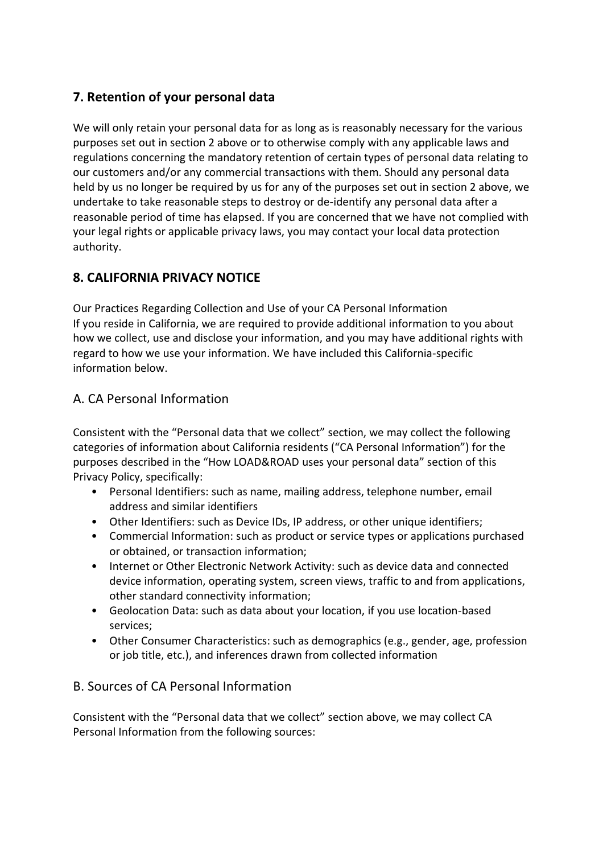# **7. Retention of your personal data**

We will only retain your personal data for as long as is reasonably necessary for the various purposes set out in section 2 above or to otherwise comply with any applicable laws and regulations concerning the mandatory retention of certain types of personal data relating to our customers and/or any commercial transactions with them. Should any personal data held by us no longer be required by us for any of the purposes set out in section 2 above, we undertake to take reasonable steps to destroy or de-identify any personal data after a reasonable period of time has elapsed. If you are concerned that we have not complied with your legal rights or applicable privacy laws, you may contact your local data protection authority.

# **8. CALIFORNIA PRIVACY NOTICE**

Our Practices Regarding Collection and Use of your CA Personal Information If you reside in California, we are required to provide additional information to you about how we collect, use and disclose your information, and you may have additional rights with regard to how we use your information. We have included this California-specific information below.

# A. CA Personal Information

Consistent with the "Personal data that we collect" section, we may collect the following categories of information about California residents ("CA Personal Information") for the purposes described in the "How LOAD&ROAD uses your personal data" section of this Privacy Policy, specifically:

- Personal Identifiers: such as name, mailing address, telephone number, email address and similar identifiers
- Other Identifiers: such as Device IDs, IP address, or other unique identifiers;
- Commercial Information: such as product or service types or applications purchased or obtained, or transaction information;
- Internet or Other Electronic Network Activity: such as device data and connected device information, operating system, screen views, traffic to and from applications, other standard connectivity information;
- Geolocation Data: such as data about your location, if you use location-based services;
- Other Consumer Characteristics: such as demographics (e.g., gender, age, profession or job title, etc.), and inferences drawn from collected information

## B. Sources of CA Personal Information

Consistent with the "Personal data that we collect" section above, we may collect CA Personal Information from the following sources: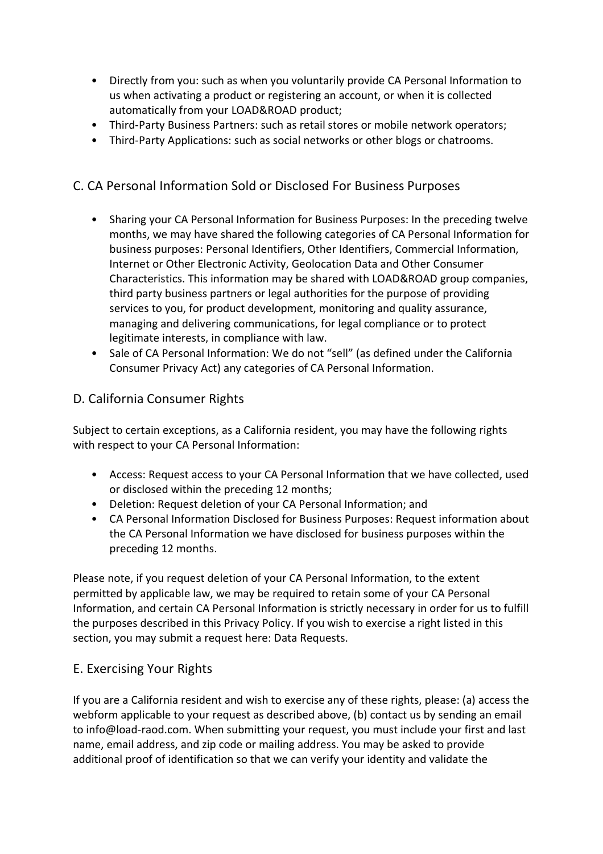- Directly from you: such as when you voluntarily provide CA Personal Information to us when activating a product or registering an account, or when it is collected automatically from your LOAD&ROAD product;
- Third-Party Business Partners: such as retail stores or mobile network operators;
- Third-Party Applications: such as social networks or other blogs or chatrooms.

# C. CA Personal Information Sold or Disclosed For Business Purposes

- Sharing your CA Personal Information for Business Purposes: In the preceding twelve months, we may have shared the following categories of CA Personal Information for business purposes: Personal Identifiers, Other Identifiers, Commercial Information, Internet or Other Electronic Activity, Geolocation Data and Other Consumer Characteristics. This information may be shared with LOAD&ROAD group companies, third party business partners or legal authorities for the purpose of providing services to you, for product development, monitoring and quality assurance, managing and delivering communications, for legal compliance or to protect legitimate interests, in compliance with law.
- Sale of CA Personal Information: We do not "sell" (as defined under the California Consumer Privacy Act) any categories of CA Personal Information.

## D. California Consumer Rights

Subject to certain exceptions, as a California resident, you may have the following rights with respect to your CA Personal Information:

- Access: Request access to your CA Personal Information that we have collected, used or disclosed within the preceding 12 months;
- Deletion: Request deletion of your CA Personal Information; and
- CA Personal Information Disclosed for Business Purposes: Request information about the CA Personal Information we have disclosed for business purposes within the preceding 12 months.

Please note, if you request deletion of your CA Personal Information, to the extent permitted by applicable law, we may be required to retain some of your CA Personal Information, and certain CA Personal Information is strictly necessary in order for us to fulfill the purposes described in this Privacy Policy. If you wish to exercise a right listed in this section, you may submit a request here: Data Requests.

## E. Exercising Your Rights

If you are a California resident and wish to exercise any of these rights, please: (a) access the webform applicable to your request as described above, (b) contact us by sending an email to info@load-raod.com. When submitting your request, you must include your first and last name, email address, and zip code or mailing address. You may be asked to provide additional proof of identification so that we can verify your identity and validate the